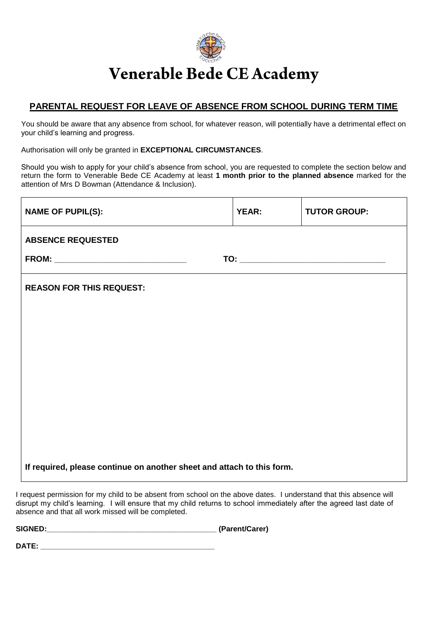

## Venerable Bede CE Academy

## **PARENTAL REQUEST FOR LEAVE OF ABSENCE FROM SCHOOL DURING TERM TIME**

You should be aware that any absence from school, for whatever reason, will potentially have a detrimental effect on your child's learning and progress.

Authorisation will only be granted in **EXCEPTIONAL CIRCUMSTANCES**.

Should you wish to apply for your child's absence from school, you are requested to complete the section below and return the form to Venerable Bede CE Academy at least **1 month prior to the planned absence** marked for the attention of Mrs D Bowman (Attendance & Inclusion).

| <b>NAME OF PUPIL(S):</b>                                               | <b>YEAR:</b> | <b>TUTOR GROUP:</b> |  |  |  |
|------------------------------------------------------------------------|--------------|---------------------|--|--|--|
| <b>ABSENCE REQUESTED</b>                                               |              |                     |  |  |  |
|                                                                        |              |                     |  |  |  |
| <b>REASON FOR THIS REQUEST:</b>                                        |              |                     |  |  |  |
|                                                                        |              |                     |  |  |  |
|                                                                        |              |                     |  |  |  |
|                                                                        |              |                     |  |  |  |
|                                                                        |              |                     |  |  |  |
|                                                                        |              |                     |  |  |  |
|                                                                        |              |                     |  |  |  |
|                                                                        |              |                     |  |  |  |
| If required, please continue on another sheet and attach to this form. |              |                     |  |  |  |

I request permission for my child to be absent from school on the above dates. I understand that this absence will disrupt my child's learning. I will ensure that my child returns to school immediately after the agreed last date of absence and that all work missed will be completed.

**SIGNED:\_\_\_\_\_\_\_\_\_\_\_\_\_\_\_\_\_\_\_\_\_\_\_\_\_\_\_\_\_\_\_\_\_\_\_\_\_\_\_\_\_ (Parent/Carer)**

**DATE:**  $\blacksquare$